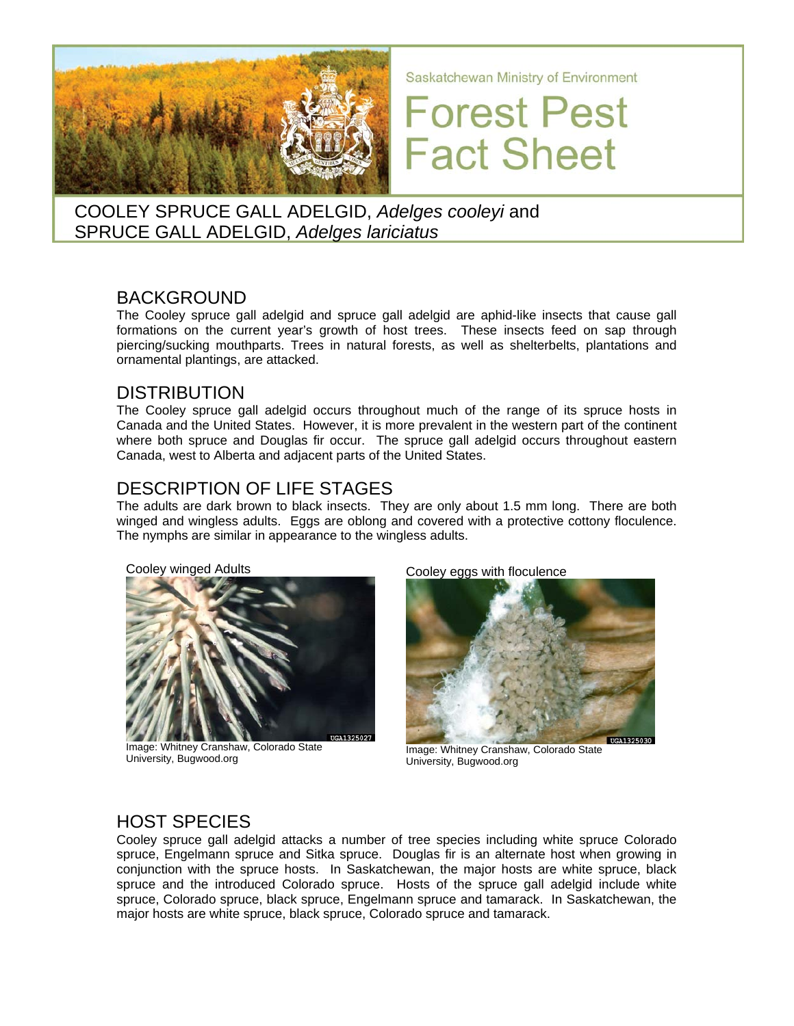

Saskatchewan Ministry of Environment

# **Forest Pest Fact Sheet**

COOLEY SPRUCE GALL ADELGID, *Adelges cooleyi* and SPRUCE GALL ADELGID, *Adelges lariciatus*

# BACKGROUND

The Cooley spruce gall adelgid and spruce gall adelgid are aphid-like insects that cause gall formations on the current year's growth of host trees. These insects feed on sap through piercing/sucking mouthparts. Trees in natural forests, as well as shelterbelts, plantations and ornamental plantings, are attacked.

# DISTRIBUTION

The Cooley spruce gall adelgid occurs throughout much of the range of its spruce hosts in Canada and the United States. However, it is more prevalent in the western part of the continent where both spruce and Douglas fir occur. The spruce gall adelgid occurs throughout eastern Canada, west to Alberta and adjacent parts of the United States.

## DESCRIPTION OF LIFE STAGES

The adults are dark brown to black insects. They are only about 1.5 mm long. There are both winged and wingless adults. Eggs are oblong and covered with a protective cottony floculence. The nymphs are similar in appearance to the wingless adults.



Image: Whitney Cranshaw, Colorado State University, Bugwood.org

Cooley eggs with floculence



Image: Whitney Cranshaw, Colorado State University, Bugwood.org

# HOST SPECIES

Cooley spruce gall adelgid attacks a number of tree species including white spruce Colorado spruce, Engelmann spruce and Sitka spruce. Douglas fir is an alternate host when growing in conjunction with the spruce hosts. In Saskatchewan, the major hosts are white spruce, black spruce and the introduced Colorado spruce. Hosts of the spruce gall adelgid include white spruce, Colorado spruce, black spruce, Engelmann spruce and tamarack. In Saskatchewan, the major hosts are white spruce, black spruce, Colorado spruce and tamarack.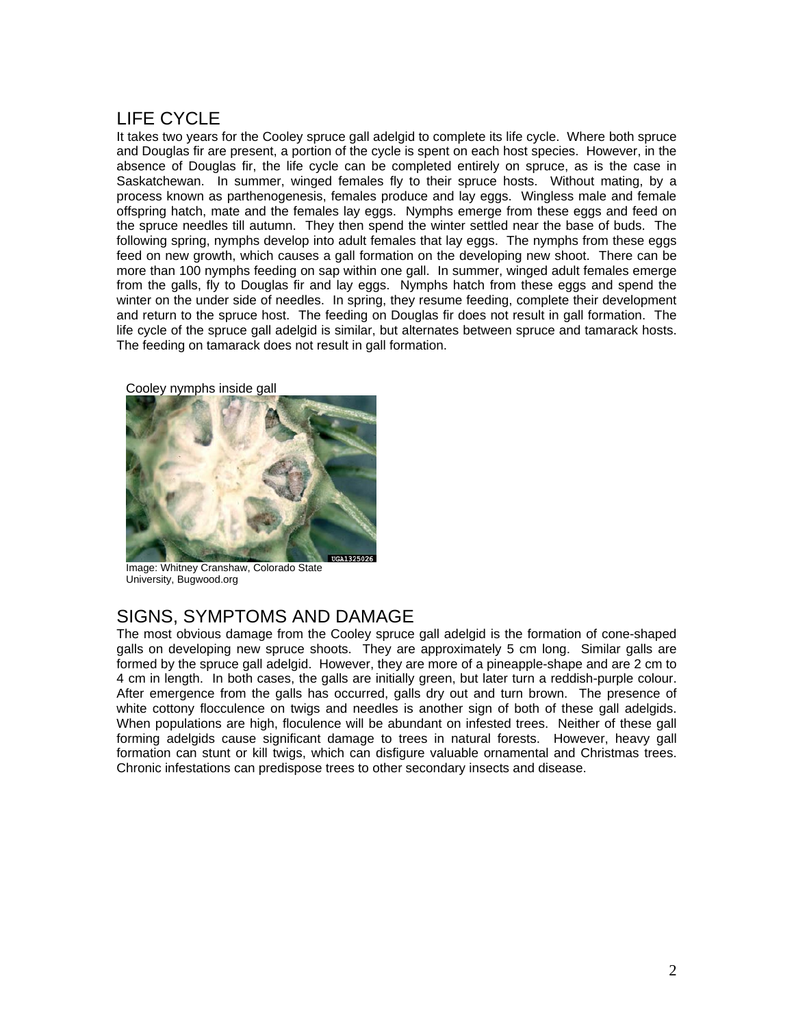# LIFE CYCLE

It takes two years for the Cooley spruce gall adelgid to complete its life cycle. Where both spruce and Douglas fir are present, a portion of the cycle is spent on each host species. However, in the absence of Douglas fir, the life cycle can be completed entirely on spruce, as is the case in Saskatchewan. In summer, winged females fly to their spruce hosts. Without mating, by a process known as parthenogenesis, females produce and lay eggs. Wingless male and female offspring hatch, mate and the females lay eggs. Nymphs emerge from these eggs and feed on the spruce needles till autumn. They then spend the winter settled near the base of buds. The following spring, nymphs develop into adult females that lay eggs. The nymphs from these eggs feed on new growth, which causes a gall formation on the developing new shoot. There can be more than 100 nymphs feeding on sap within one gall. In summer, winged adult females emerge from the galls, fly to Douglas fir and lay eggs. Nymphs hatch from these eggs and spend the winter on the under side of needles. In spring, they resume feeding, complete their development and return to the spruce host. The feeding on Douglas fir does not result in gall formation. The life cycle of the spruce gall adelgid is similar, but alternates between spruce and tamarack hosts. The feeding on tamarack does not result in gall formation.



Cooley nymphs inside gall

Image: Whitney Cranshaw, Colorado State University, Bugwood.org

### SIGNS, SYMPTOMS AND DAMAGE

The most obvious damage from the Cooley spruce gall adelgid is the formation of cone-shaped galls on developing new spruce shoots. They are approximately 5 cm long. Similar galls are formed by the spruce gall adelgid. However, they are more of a pineapple-shape and are 2 cm to 4 cm in length. In both cases, the galls are initially green, but later turn a reddish-purple colour. After emergence from the galls has occurred, galls dry out and turn brown. The presence of white cottony flocculence on twigs and needles is another sign of both of these gall adelgids. When populations are high, floculence will be abundant on infested trees. Neither of these gall forming adelgids cause significant damage to trees in natural forests. However, heavy gall formation can stunt or kill twigs, which can disfigure valuable ornamental and Christmas trees. Chronic infestations can predispose trees to other secondary insects and disease.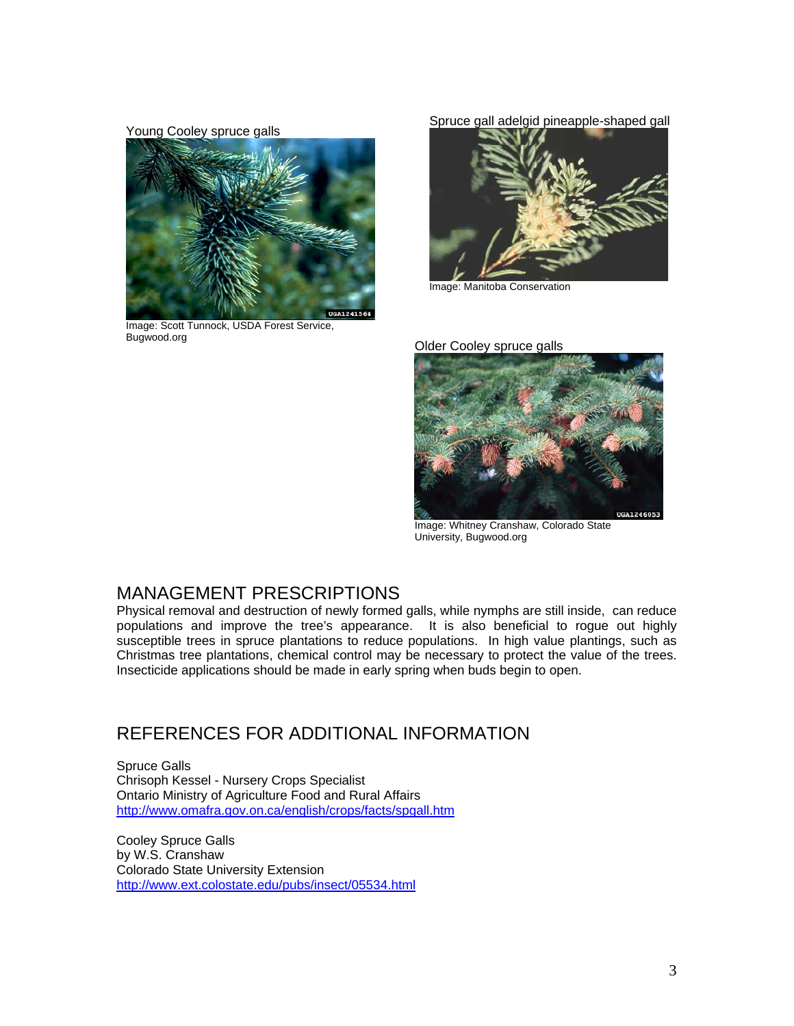#### Young Cooley spruce galls



Image: Scott Tunnock, USDA Forest Service, Bugwood.org **COOLET SHOW COOLET COOLET COOLET SHOW COOLET SHOW COOLET SHOW COOLET SHOW COOLET SHOW COOLET SHOW COOLET SHOW COOLET SHOW COOLET SHOW COOLET SHOW COOLET SHOW COOLET SHOW COOLET SHOW COOLET SHOW COOLET SHOW COO** 

#### Spruce gall adelgid pineapple-shaped gall



Image: Manitoba Conservation



Image: Whitney Cranshaw, Colorado State University, Bugwood.org

### MANAGEMENT PRESCRIPTIONS

Physical removal and destruction of newly formed galls, while nymphs are still inside, can reduce populations and improve the tree's appearance. It is also beneficial to rogue out highly susceptible trees in spruce plantations to reduce populations. In high value plantings, such as Christmas tree plantations, chemical control may be necessary to protect the value of the trees. Insecticide applications should be made in early spring when buds begin to open.

# REFERENCES FOR ADDITIONAL INFORMATION

Spruce Galls Chrisoph Kessel - Nursery Crops Specialist Ontario Ministry of Agriculture Food and Rural Affairs <http://www.omafra.gov.on.ca/english/crops/facts/spgall.htm>

Cooley Spruce Galls by W.S. Cranshaw Colorado State University Extension <http://www.ext.colostate.edu/pubs/insect/05534.html>